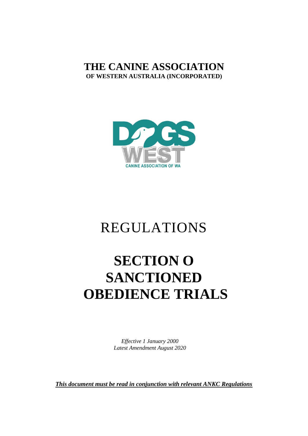# **THE CANINE ASSOCIATION OF WESTERN AUSTRALIA (INCORPORATED)**



# REGULATIONS

# **SECTION O SANCTIONED OBEDIENCE TRIALS**

*Effective 1 January 2000 Latest Amendment August 2020*

*This document must be read in conjunction with relevant ANKC Regulations*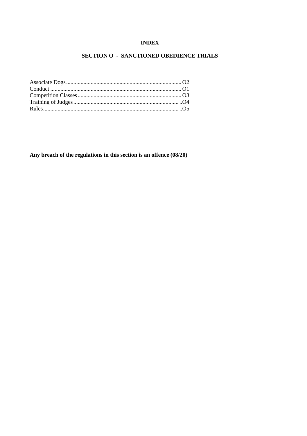### **INDEX**

# SECTION O - SANCTIONED OBEDIENCE TRIALS

Any breach of the regulations in this section is an offence (08/20)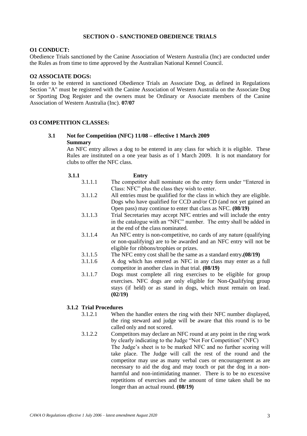#### **SECTION O - SANCTIONED OBEDIENCE TRIALS**

#### **O1 CONDUCT:**

Obedience Trials sanctioned by the Canine Association of Western Australia (Inc) are conducted under the Rules as from time to time approved by the Australian National Kennel Council.

#### **O2 ASSOCIATE DOGS:**

In order to be entered in sanctioned Obedience Trials an Associate Dog, as defined in Regulations Section "A" must be registered with the Canine Association of Western Australia on the Associate Dog or Sporting Dog Register and the owners must be Ordinary or Associate members of the Canine Association of Western Australia (Inc). **07/07**

#### **O3 COMPETITION CLASSES:**

#### **3.1 Not for Competition (NFC) 11/08 – effective 1 March 2009 Summary**

An NFC entry allows a dog to be entered in any class for which it is eligible. These Rules are instituted on a one year basis as of 1 March 2009. It is not mandatory for clubs to offer the NFC class.

#### **3.1.1 Entry**

- 3.1.1.1 The competitor shall nominate on the entry form under "Entered in Class: NFC" plus the class they wish to enter.
	- 3.1.1.2 All entries must be qualified for the class in which they are eligible. Dogs who have qualified for CCD and/or CD (and not yet gained an Open pass) may continue to enter that class as NFC. **(08/19)**
	- 3.1.1.3 Trial Secretaries may accept NFC entries and will include the entry in the catalogue with an "NFC" number. The entry shall be added in at the end of the class nominated.
	- 3.1.1.4 An NFC entry is non-competitive, no cards of any nature (qualifying or non-qualifying) are to be awarded and an NFC entry will not be eligible for ribbons/trophies or prizes.
	- 3.1.1.5 The NFC entry cost shall be the same as a standard entry**.(08/19)**
- 3.1.1.6 A dog which has entered as NFC in any class may enter as a full competitor in another class in that trial. **(08/19)**
	- 3.1.1.7 Dogs must complete all ring exercises to be eligible for group exercises. NFC dogs are only eligible for Non-Qualifying group stays (if held) or as stand in dogs, which must remain on lead. **(02/19)**

### **3.1.2 Trial Procedures**

- 3.1.2.1 When the handler enters the ring with their NFC number displayed, the ring steward and judge will be aware that this round is to be called only and not scored.
- 3.1.2.2 Competitors may declare an NFC round at any point in the ring work by clearly indicating to the Judge "Not For Competition" (NFC) The Judge's sheet is to be marked NFC and no further scoring will take place. The Judge will call the rest of the round and the competitor may use as many verbal cues or encouragement as are necessary to aid the dog and may touch or pat the dog in a nonharmful and non-intimidating manner. There is to be no excessive repetitions of exercises and the amount of time taken shall be no longer than an actual round. **(08/19)**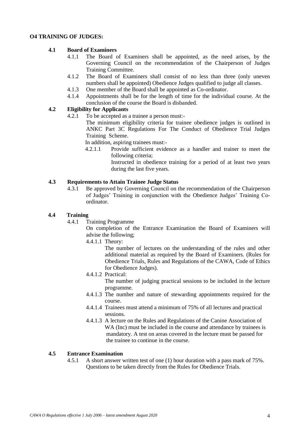#### **O4 TRAINING OF JUDGES:**

#### **4.1 Board of Examiners**

- 4.1.1 The Board of Examiners shall be appointed, as the need arises, by the Governing Council on the recommendation of the Chairperson of Judges Training Committee.
- 4.1.2 The Board of Examiners shall consist of no less than three (only uneven numbers shall be appointed) Obedience Judges qualified to judge all classes.
- 4.1.3 One member of the Board shall be appointed as Co-ordinator.
- 4.1.4 Appointments shall be for the length of time for the individual course. At the conclusion of the course the Board is disbanded.

# **4.2 Eligibility for Applicants**

4.2.1 To be accepted as a trainee a person must:-

The minimum eligibility criteria for trainee obedience judges is outlined in ANKC Part 3C Regulations For The Conduct of Obedience Trial Judges Training Scheme.

In addition, aspiring trainees must:-

4.2.1.1 Provide sufficient evidence as a handler and trainer to meet the following criteria;

Instructed in obedience training for a period of at least two years during the last five years.

#### **4.3 Requirements to Attain Trainee Judge Status**

4.3.1 Be approved by Governing Council on the recommendation of the Chairperson of Judges' Training in conjunction with the Obedience Judges' Training Coordinator.

#### **4.4 Training**

4.4.1 Training Programme

On completion of the Entrance Examination the Board of Examiners will advise the following;

4.4.1.1 Theory:

The number of lectures on the understanding of the rules and other additional material as required by the Board of Examiners. (Rules for Obedience Trials, Rules and Regulations of the CAWA, Code of Ethics for Obedience Judges).

4.4.1.2 Practical:

The number of judging practical sessions to be included in the lecture programme.

- 4.4.1.3 The number and nature of stewarding appointments required for the course.
- 4.4.1.4 Trainees must attend a minimum of 75% of all lectures and practical sessions.
- 4.4.1.3 A lecture on the Rules and Regulations of the Canine Association of WA (Inc) must be included in the course and attendance by trainees is mandatory. A test on areas covered in the lecture must be passed for the trainee to continue in the course.

#### **4.5 Entrance Examination**

4.5.1 A short answer written test of one (1) hour duration with a pass mark of 75%. Questions to be taken directly from the Rules for Obedience Trials.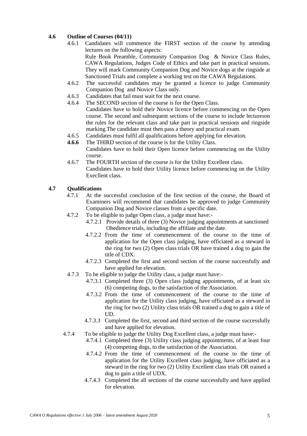# **4.6 Outline of Courses (04/11)**

- 4.6.1 Candidates will commence the FIRST section of the course by attending lectures on the following aspects: Rule Book Preamble, Community Companion Dog & Novice Class Rules, CAWA Regulations, Judges Code of Ethics and take part in practical sessions. They will mark Community Companion Dog and Novice dogs at the ringside at Sanctioned Trials and complete a working test on the CAWA Regulations.
- 4.6.2 The successful candidates may be granted a licence to judge Community Companion Dog and Novice Class only.
- 4.6.3 Candidates that fail must wait for the next course.
- 4.6.4 The SECOND section of the course is for the Open Class. Candidates have to hold their Novice licence before commencing on the Open course. The second and subsequent sections of the course to include lectureson the rules for the relevant class and take part in practical sessions and ringside
- marking.The candidate must then pass a theory and practical exam.
- 4.6.5 Candidates must fulfil all qualifications before applying for elevation.
- **4.6.6** The THIRD section of the course is for the Utility Class. Candidates have to hold their Open licence before commencing on the Utility course.
- 4.6.7 The FOURTH section of the course is for the Utility Excellent class. Candidates have to hold their Utility licence before commencing on the Utility Execllent class.

#### **4.7 Qualifications**

- 4.7.1 At the successful conclusion of the first section of the course, the Board of Examiners will recommend that candidates be approved to judge Community Companion Dog and Novice classes from a specific date.
- 4.7.2 To be eligible to judge Open class, a judge must have:-
	- 4.7.2.1 Provide details of three (3) Novice judging appointments at sanctioned Obedience trials, including the affiliate and the date.
	- 4.7.2.2 From the time of commencement of the course to the time of application for the Open class judging, have officiated as a steward in the ring for two (2) Open class trials OR have trained a dog to gain the title of CDX.
	- 4.7.2.3 Completed the first and second section of the course successfully and have applied for elevation.
- 4.7.3 To be eligible to judge the Utility class, a judge must have:-
	- 4.7.3.1 Completed three (3) Open class judging appointments, of at least six (6) competing dogs, to the satisfaction of the Association.
	- 4.7.3.2 From the time of commencement of the course to the time of application for the Utility class judging, have officiated as a steward in the ring for two (2) Utility class trials OR trained a dog to gain a title of UD.
	- 4.7.3.3 Completed the first, second and third section of the course successfully and have applied for elevation.
- 4.7.4 To be eligible to judge the Utility Dog Excellent class, a judge must have:-
	- 4.7.4.1 Completed three (3) Utility class judging appointments, of at least four (4) competing dogs, to the satisfaction of the Association.
	- 4.7.4.2 From the time of commencement of the course to the time of application for the Utility Excellent class judging, have officiated as a steward in the ring for two (2) Utility Excellent class trials OR trained a dog to gain a title of UDX.
	- 4.7.4.3 Completed the all sections of the course successfully and have applied for elevation.